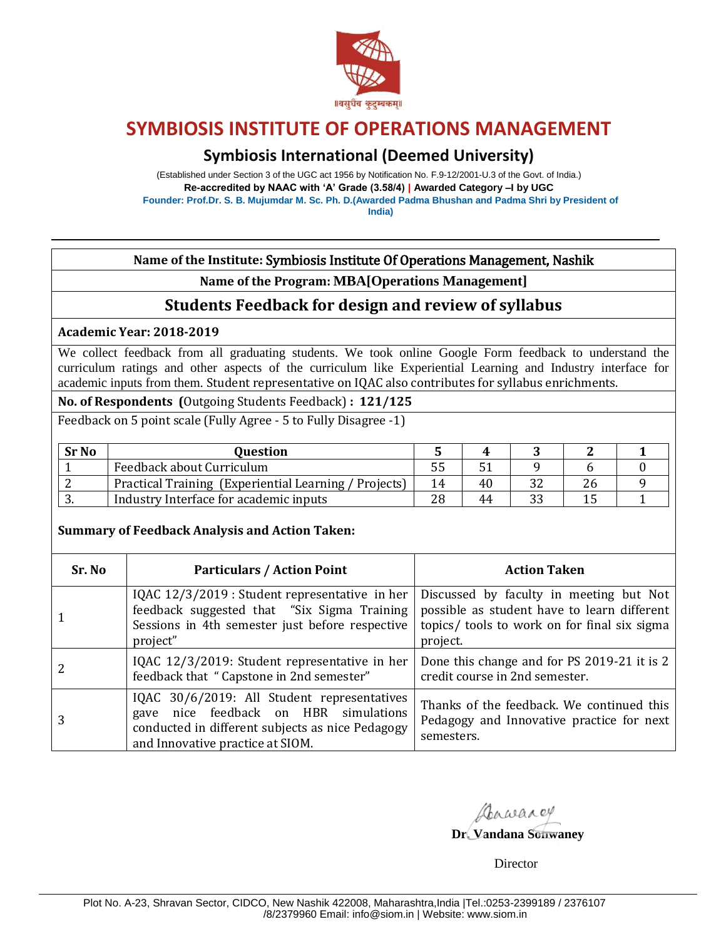

# **Symbiosis International (Deemed University)**

(Established under Section 3 of the UGC act 1956 by Notification No. F.9-12/2001-U.3 of the Govt. of India.) **Re-accredited by NAAC with 'A' Grade (3.58/4) | Awarded Category –I by UGC Founder: Prof.Dr. S. B. Mujumdar M. Sc. Ph. D.(Awarded Padma Bhushan and Padma Shri by President of India)**

**Name of the Institute:** Symbiosis Institute Of Operations Management, Nashik

**Name of the Program: MBA[Operations Management]**

## **Students Feedback for design and review of syllabus**

**Academic Year: 2018-2019** 

We collect feedback from all graduating students. We took online Google Form feedback to understand the curriculum ratings and other aspects of the curriculum like Experiential Learning and Industry interface for academic inputs from them. Student representative on IQAC also contributes for syllabus enrichments.

**No. of Respondents (**Outgoing Students Feedback) **: 121/125** 

Feedback on 5 point scale (Fully Agree - 5 to Fully Disagree -1)

| <b>Sr No</b> | <b>Ouestion</b>                                       |    |    |    |  |
|--------------|-------------------------------------------------------|----|----|----|--|
|              | Feedback about Curriculum                             |    |    |    |  |
|              | Practical Training (Experiential Learning / Projects) | 14 | 40 | Zh |  |
| ູ            | Industry Interface for academic inputs                | 28 | 44 |    |  |

### **Summary of Feedback Analysis and Action Taken:**

| Sr. No | <b>Particulars / Action Point</b>                                                                                                                                               | <b>Action Taken</b>                                                                                                                                |  |  |
|--------|---------------------------------------------------------------------------------------------------------------------------------------------------------------------------------|----------------------------------------------------------------------------------------------------------------------------------------------------|--|--|
|        | IQAC 12/3/2019 : Student representative in her<br>feedback suggested that "Six Sigma Training<br>Sessions in 4th semester just before respective<br>project"                    | Discussed by faculty in meeting but Not<br>possible as student have to learn different<br>topics/ tools to work on for final six sigma<br>project. |  |  |
|        | IQAC 12/3/2019: Student representative in her<br>feedback that "Capstone in 2nd semester"                                                                                       | Done this change and for PS 2019-21 it is 2<br>credit course in 2nd semester.                                                                      |  |  |
| 3      | IQAC 30/6/2019: All Student representatives<br>nice feedback on HBR simulations<br>gave<br>conducted in different subjects as nice Pedagogy<br>and Innovative practice at SIOM. | Thanks of the feedback. We continued this<br>Pedagogy and Innovative practice for next<br>semesters.                                               |  |  |

Anwarey

**Dr. Vandana Sonwaney**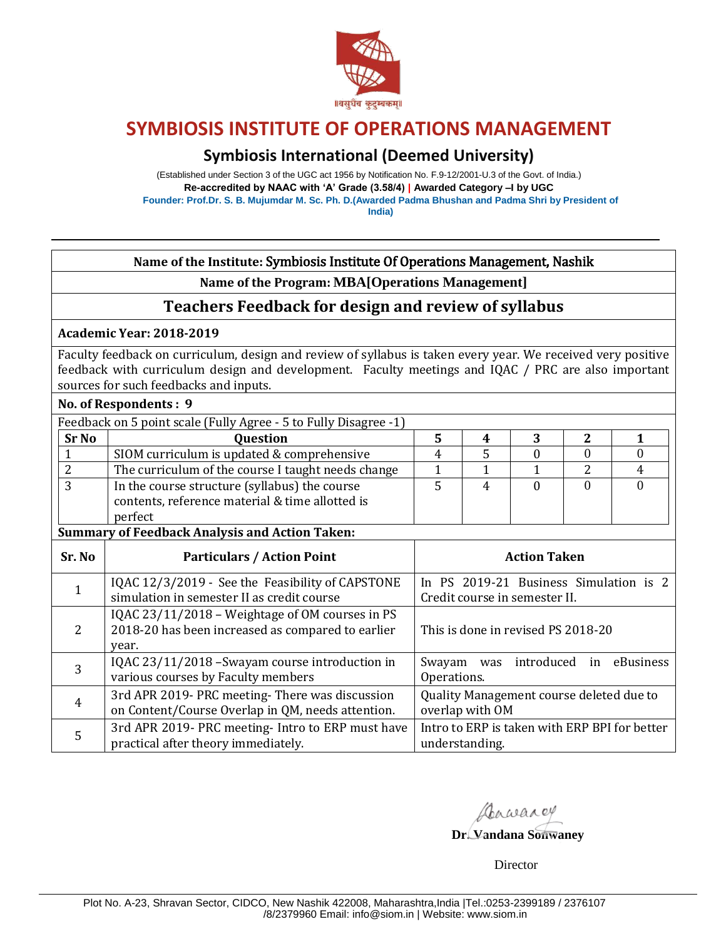

# **Symbiosis International (Deemed University)**

(Established under Section 3 of the UGC act 1956 by Notification No. F.9-12/2001-U.3 of the Govt. of India.) **Re-accredited by NAAC with 'A' Grade (3.58/4) | Awarded Category –I by UGC Founder: Prof.Dr. S. B. Mujumdar M. Sc. Ph. D.(Awarded Padma Bhushan and Padma Shri by President of India)**

### **Name of the Institute:** Symbiosis Institute Of Operations Management, Nashik

**Name of the Program: MBA[Operations Management]**

### **Teachers Feedback for design and review of syllabus**

#### **Academic Year: 2018-2019**

Faculty feedback on curriculum, design and review of syllabus is taken every year. We received very positive feedback with curriculum design and development. Faculty meetings and IQAC / PRC are also important sources for such feedbacks and inputs.

### **No. of Respondents : 9**

| Feedback on 5 point scale (Fully Agree - 5 to Fully Disagree -1) |                                                                                                             |  |  |  |  |
|------------------------------------------------------------------|-------------------------------------------------------------------------------------------------------------|--|--|--|--|
| <b>Sr No</b>                                                     | <b>Question</b>                                                                                             |  |  |  |  |
|                                                                  | SIOM curriculum is updated & comprehensive                                                                  |  |  |  |  |
|                                                                  | The curriculum of the course I taught needs change                                                          |  |  |  |  |
|                                                                  | In the course structure (syllabus) the course<br>contents, reference material & time allotted is<br>perfect |  |  |  |  |

#### **Summary of Feedback Analysis and Action Taken:**

| Sr. No | <b>Particulars / Action Point</b>                                                                             | <b>Action Taken</b>                                                     |  |  |
|--------|---------------------------------------------------------------------------------------------------------------|-------------------------------------------------------------------------|--|--|
|        | IQAC 12/3/2019 - See the Feasibility of CAPSTONE<br>simulation in semester II as credit course                | In PS 2019-21 Business Simulation is 2<br>Credit course in semester II. |  |  |
| 2      | IQAC 23/11/2018 – Weightage of OM courses in PS<br>2018-20 has been increased as compared to earlier<br>year. | This is done in revised PS 2018-20                                      |  |  |
| 3      | IQAC 23/11/2018 - Swayam course introduction in<br>various courses by Faculty members                         | was introduced in<br>eBusiness<br>Swayam<br>Operations.                 |  |  |
| 4      | 3rd APR 2019- PRC meeting-There was discussion<br>on Content/Course Overlap in QM, needs attention.           | Quality Management course deleted due to<br>overlap with OM             |  |  |
| 5      | 3rd APR 2019- PRC meeting- Intro to ERP must have<br>practical after theory immediately.                      | Intro to ERP is taken with ERP BPI for better<br>understanding.         |  |  |

Dawarey

**Dr. Vandana Sonwaney**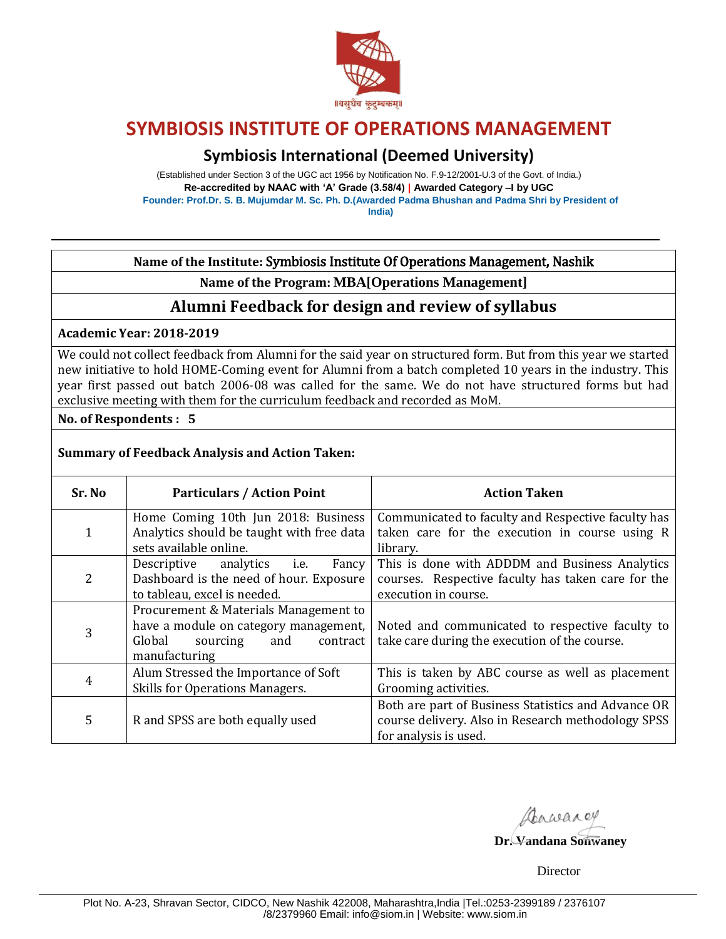

# **Symbiosis International (Deemed University)**

(Established under Section 3 of the UGC act 1956 by Notification No. F.9-12/2001-U.3 of the Govt. of India.) **Re-accredited by NAAC with 'A' Grade (3.58/4) | Awarded Category –I by UGC Founder: Prof.Dr. S. B. Mujumdar M. Sc. Ph. D.(Awarded Padma Bhushan and Padma Shri by President of India)**

**Name of the Institute:** Symbiosis Institute Of Operations Management, Nashik

**Name of the Program: MBA[Operations Management]**

### **Alumni Feedback for design and review of syllabus**

**Academic Year: 2018-2019** 

We could not collect feedback from Alumni for the said year on structured form. But from this year we started new initiative to hold HOME-Coming event for Alumni from a batch completed 10 years in the industry. This year first passed out batch 2006-08 was called for the same. We do not have structured forms but had exclusive meeting with them for the curriculum feedback and recorded as MoM.

**No. of Respondents : 5** 

### **Summary of Feedback Analysis and Action Taken:**

| Sr. No         | <b>Particulars / Action Point</b>                                                                                                        | <b>Action Taken</b>                                                                                                                |
|----------------|------------------------------------------------------------------------------------------------------------------------------------------|------------------------------------------------------------------------------------------------------------------------------------|
| 1              | Home Coming 10th Jun 2018: Business<br>Analytics should be taught with free data                                                         | Communicated to faculty and Respective faculty has<br>taken care for the execution in course using R                               |
|                | sets available online.                                                                                                                   | library.                                                                                                                           |
| 2              | Descriptive<br>analytics<br>Fancy<br>i.e.<br>Dashboard is the need of hour. Exposure<br>to tableau, excel is needed.                     | This is done with ADDDM and Business Analytics<br>courses. Respective faculty has taken care for the<br>execution in course.       |
| 3              | Procurement & Materials Management to<br>have a module on category management,<br>Global<br>sourcing<br>and<br>contract<br>manufacturing | Noted and communicated to respective faculty to<br>take care during the execution of the course.                                   |
| $\overline{4}$ | Alum Stressed the Importance of Soft<br>Skills for Operations Managers.                                                                  | This is taken by ABC course as well as placement<br>Grooming activities.                                                           |
| 5              | R and SPSS are both equally used                                                                                                         | Both are part of Business Statistics and Advance OR<br>course delivery. Also in Research methodology SPSS<br>for analysis is used. |

Dawarey

**Dr. Vandana Sonwaney**